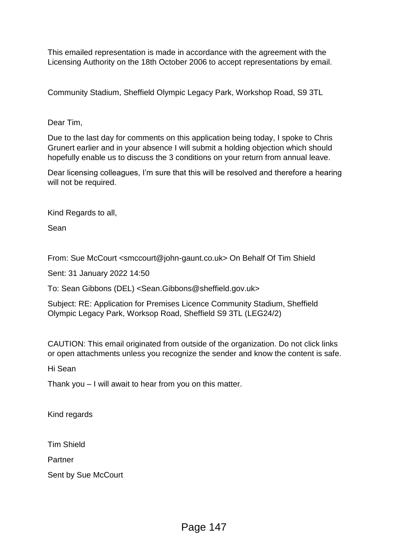This emailed representation is made in accordance with the agreement with the Licensing Authority on the 18th October 2006 to accept representations by email.

Community Stadium, Sheffield Olympic Legacy Park, Workshop Road, S9 3TL

# Dear Tim,

Due to the last day for comments on this application being today, I spoke to Chris Grunert earlier and in your absence I will submit a holding objection which should hopefully enable us to discuss the 3 conditions on your return from annual leave.

Dear licensing colleagues, I'm sure that this will be resolved and therefore a hearing will not be required.

Kind Regards to all,

Sean

From: Sue McCourt <smccourt@john-gaunt.co.uk> On Behalf Of Tim Shield

Sent: 31 January 2022 14:50

To: Sean Gibbons (DEL) <Sean.Gibbons@sheffield.gov.uk>

Subject: RE: Application for Premises Licence Community Stadium, Sheffield Olympic Legacy Park, Worksop Road, Sheffield S9 3TL (LEG24/2)

CAUTION: This email originated from outside of the organization. Do not click links or open attachments unless you recognize the sender and know the content is safe.

Hi Sean

Thank you – I will await to hear from you on this matter.

Kind regards

Tim Shield

Partner

Sent by Sue McCourt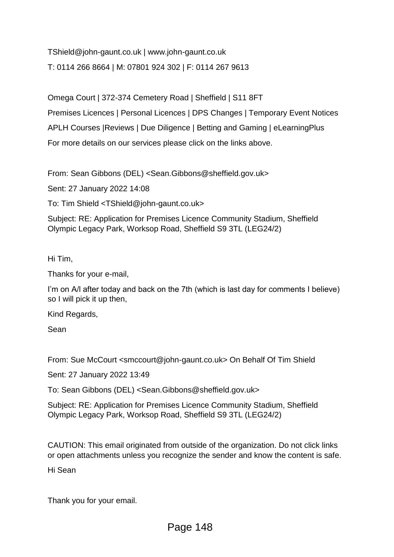TShield@john-gaunt.co.uk | www.john-gaunt.co.uk T: 0114 266 8664 | M: 07801 924 302 | F: 0114 267 9613

Omega Court | 372-374 Cemetery Road | Sheffield | S11 8FT

Premises Licences | Personal Licences | DPS Changes | Temporary Event Notices

APLH Courses |Reviews | Due Diligence | Betting and Gaming | eLearningPlus

For more details on our services please click on the links above.

From: Sean Gibbons (DEL) <Sean.Gibbons@sheffield.gov.uk>

Sent: 27 January 2022 14:08

To: Tim Shield <TShield@john-gaunt.co.uk>

Subject: RE: Application for Premises Licence Community Stadium, Sheffield Olympic Legacy Park, Worksop Road, Sheffield S9 3TL (LEG24/2)

Hi Tim,

Thanks for your e-mail,

I'm on A/l after today and back on the 7th (which is last day for comments I believe) so I will pick it up then,

Kind Regards,

Sean

From: Sue McCourt <smccourt@john-gaunt.co.uk> On Behalf Of Tim Shield

Sent: 27 January 2022 13:49

To: Sean Gibbons (DEL) <Sean.Gibbons@sheffield.gov.uk>

Subject: RE: Application for Premises Licence Community Stadium, Sheffield Olympic Legacy Park, Worksop Road, Sheffield S9 3TL (LEG24/2)

CAUTION: This email originated from outside of the organization. Do not click links or open attachments unless you recognize the sender and know the content is safe.

Hi Sean

Thank you for your email.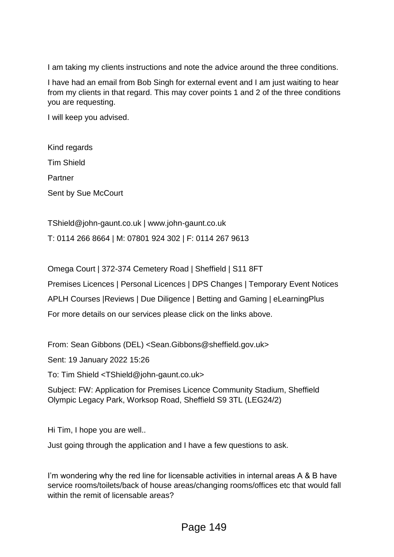I am taking my clients instructions and note the advice around the three conditions.

I have had an email from Bob Singh for external event and I am just waiting to hear from my clients in that regard. This may cover points 1 and 2 of the three conditions you are requesting.

I will keep you advised.

Kind regards Tim Shield Partner Sent by Sue McCourt

TShield@john-gaunt.co.uk | www.john-gaunt.co.uk T: 0114 266 8664 | M: 07801 924 302 | F: 0114 267 9613

Omega Court | 372-374 Cemetery Road | Sheffield | S11 8FT

Premises Licences | Personal Licences | DPS Changes | Temporary Event Notices

APLH Courses |Reviews | Due Diligence | Betting and Gaming | eLearningPlus

For more details on our services please click on the links above.

From: Sean Gibbons (DEL) <Sean.Gibbons@sheffield.gov.uk>

Sent: 19 January 2022 15:26

To: Tim Shield <TShield@john-gaunt.co.uk>

Subject: FW: Application for Premises Licence Community Stadium, Sheffield Olympic Legacy Park, Worksop Road, Sheffield S9 3TL (LEG24/2)

Hi Tim, I hope you are well..

Just going through the application and I have a few questions to ask.

I'm wondering why the red line for licensable activities in internal areas A & B have service rooms/toilets/back of house areas/changing rooms/offices etc that would fall within the remit of licensable areas?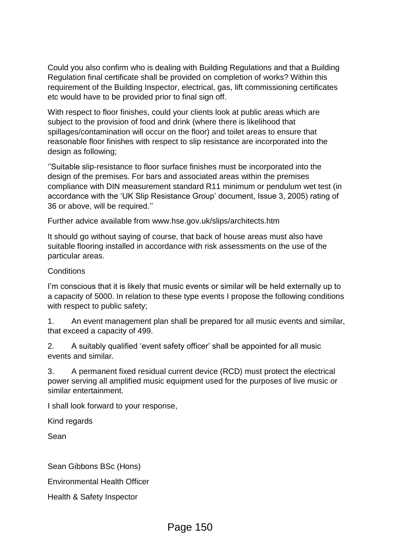Could you also confirm who is dealing with Building Regulations and that a Building Regulation final certificate shall be provided on completion of works? Within this requirement of the Building Inspector, electrical, gas, lift commissioning certificates etc would have to be provided prior to final sign off.

With respect to floor finishes, could your clients look at public areas which are subject to the provision of food and drink (where there is likelihood that spillages/contamination will occur on the floor) and toilet areas to ensure that reasonable floor finishes with respect to slip resistance are incorporated into the design as following;

''Suitable slip-resistance to floor surface finishes must be incorporated into the design of the premises. For bars and associated areas within the premises compliance with DIN measurement standard R11 minimum or pendulum wet test (in accordance with the 'UK Slip Resistance Group' document, Issue 3, 2005) rating of 36 or above, will be required.''

Further advice available from www.hse.gov.uk/slips/architects.htm

It should go without saying of course, that back of house areas must also have suitable flooring installed in accordance with risk assessments on the use of the particular areas.

### **Conditions**

I'm conscious that it is likely that music events or similar will be held externally up to a capacity of 5000. In relation to these type events I propose the following conditions with respect to public safety;

1. An event management plan shall be prepared for all music events and similar, that exceed a capacity of 499.

2. A suitably qualified 'event safety officer' shall be appointed for all music events and similar.

3. A permanent fixed residual current device (RCD) must protect the electrical power serving all amplified music equipment used for the purposes of live music or similar entertainment.

I shall look forward to your response,

Kind regards

Sean

Sean Gibbons BSc (Hons)

Environmental Health Officer

Health & Safety Inspector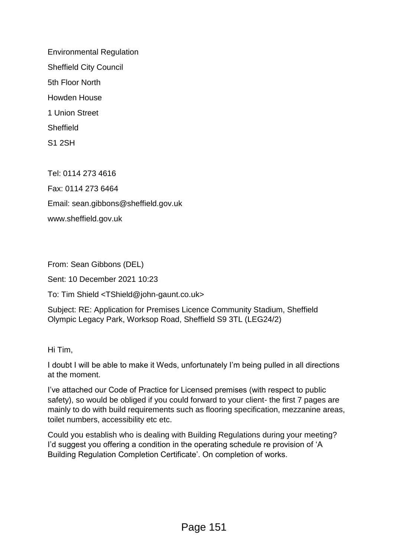Environmental Regulation Sheffield City Council 5th Floor North Howden House 1 Union Street **Sheffield** S1 2SH

Tel: 0114 273 4616 Fax: 0114 273 6464 Email: sean.gibbons@sheffield.gov.uk www.sheffield.gov.uk

From: Sean Gibbons (DEL)

Sent: 10 December 2021 10:23

To: Tim Shield <TShield@john-gaunt.co.uk>

Subject: RE: Application for Premises Licence Community Stadium, Sheffield Olympic Legacy Park, Worksop Road, Sheffield S9 3TL (LEG24/2)

Hi Tim,

I doubt I will be able to make it Weds, unfortunately I'm being pulled in all directions at the moment.

I've attached our Code of Practice for Licensed premises (with respect to public safety), so would be obliged if you could forward to your client- the first 7 pages are mainly to do with build requirements such as flooring specification, mezzanine areas, toilet numbers, accessibility etc etc.

Could you establish who is dealing with Building Regulations during your meeting? I'd suggest you offering a condition in the operating schedule re provision of 'A Building Regulation Completion Certificate'. On completion of works.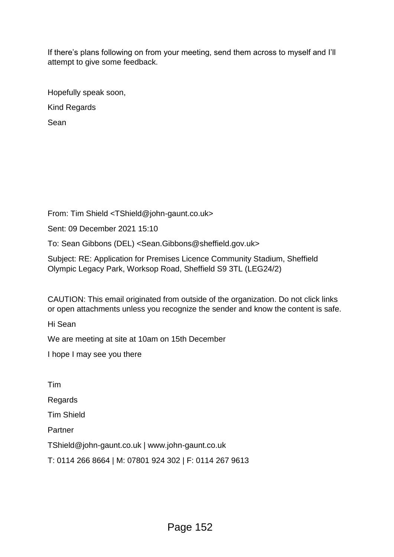If there's plans following on from your meeting, send them across to myself and I'll attempt to give some feedback.

Hopefully speak soon, Kind Regards Sean

From: Tim Shield <TShield@john-gaunt.co.uk>

Sent: 09 December 2021 15:10

To: Sean Gibbons (DEL) <Sean.Gibbons@sheffield.gov.uk>

Subject: RE: Application for Premises Licence Community Stadium, Sheffield Olympic Legacy Park, Worksop Road, Sheffield S9 3TL (LEG24/2)

CAUTION: This email originated from outside of the organization. Do not click links or open attachments unless you recognize the sender and know the content is safe.

Hi Sean

We are meeting at site at 10am on 15th December

I hope I may see you there

Tim

Regards

Tim Shield

**Partner** 

TShield@john-gaunt.co.uk | www.john-gaunt.co.uk

T: 0114 266 8664 | M: 07801 924 302 | F: 0114 267 9613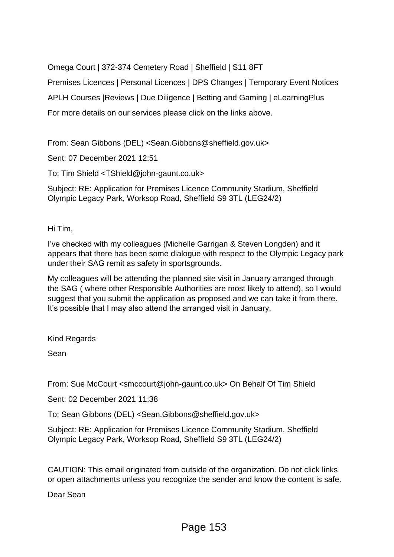Omega Court | 372-374 Cemetery Road | Sheffield | S11 8FT

Premises Licences | Personal Licences | DPS Changes | Temporary Event Notices APLH Courses |Reviews | Due Diligence | Betting and Gaming | eLearningPlus For more details on our services please click on the links above.

From: Sean Gibbons (DEL) <Sean.Gibbons@sheffield.gov.uk>

Sent: 07 December 2021 12:51

To: Tim Shield <TShield@john-gaunt.co.uk>

Subject: RE: Application for Premises Licence Community Stadium, Sheffield Olympic Legacy Park, Worksop Road, Sheffield S9 3TL (LEG24/2)

Hi Tim,

I've checked with my colleagues (Michelle Garrigan & Steven Longden) and it appears that there has been some dialogue with respect to the Olympic Legacy park under their SAG remit as safety in sportsgrounds.

My colleagues will be attending the planned site visit in January arranged through the SAG ( where other Responsible Authorities are most likely to attend), so I would suggest that you submit the application as proposed and we can take it from there. It's possible that I may also attend the arranged visit in January,

Kind Regards

Sean

From: Sue McCourt <smccourt@john-gaunt.co.uk> On Behalf Of Tim Shield

Sent: 02 December 2021 11:38

To: Sean Gibbons (DEL) <Sean.Gibbons@sheffield.gov.uk>

Subject: RE: Application for Premises Licence Community Stadium, Sheffield Olympic Legacy Park, Worksop Road, Sheffield S9 3TL (LEG24/2)

CAUTION: This email originated from outside of the organization. Do not click links or open attachments unless you recognize the sender and know the content is safe.

Dear Sean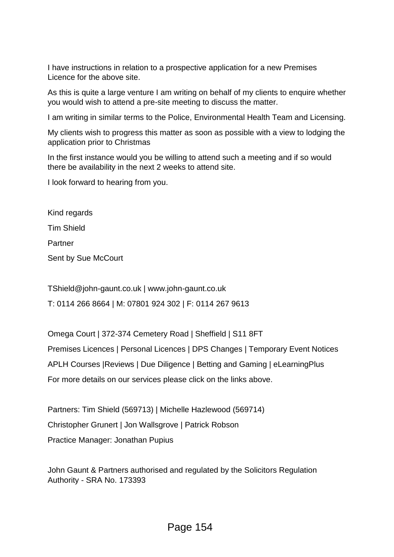I have instructions in relation to a prospective application for a new Premises Licence for the above site.

As this is quite a large venture I am writing on behalf of my clients to enquire whether you would wish to attend a pre-site meeting to discuss the matter.

I am writing in similar terms to the Police, Environmental Health Team and Licensing.

My clients wish to progress this matter as soon as possible with a view to lodging the application prior to Christmas

In the first instance would you be willing to attend such a meeting and if so would there be availability in the next 2 weeks to attend site.

I look forward to hearing from you.

Kind regards Tim Shield Partner Sent by Sue McCourt

TShield@john-gaunt.co.uk | www.john-gaunt.co.uk

T: 0114 266 8664 | M: 07801 924 302 | F: 0114 267 9613

Omega Court | 372-374 Cemetery Road | Sheffield | S11 8FT Premises Licences | Personal Licences | DPS Changes | Temporary Event Notices APLH Courses |Reviews | Due Diligence | Betting and Gaming | eLearningPlus For more details on our services please click on the links above.

Partners: Tim Shield (569713) | Michelle Hazlewood (569714) Christopher Grunert | Jon Wallsgrove | Patrick Robson Practice Manager: Jonathan Pupius

John Gaunt & Partners authorised and regulated by the Solicitors Regulation Authority - SRA No. 173393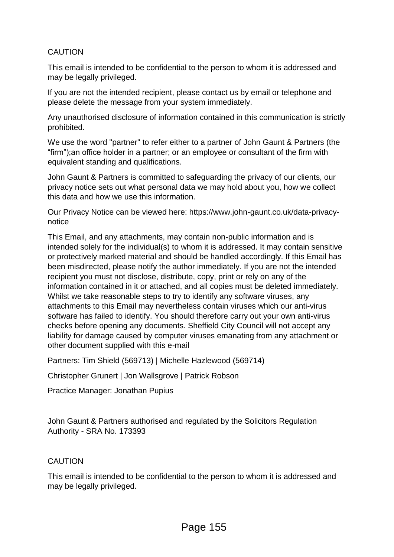# CAUTION

This email is intended to be confidential to the person to whom it is addressed and may be legally privileged.

If you are not the intended recipient, please contact us by email or telephone and please delete the message from your system immediately.

Any unauthorised disclosure of information contained in this communication is strictly prohibited.

We use the word "partner" to refer either to a partner of John Gaunt & Partners (the "firm");an office holder in a partner; or an employee or consultant of the firm with equivalent standing and qualifications.

John Gaunt & Partners is committed to safeguarding the privacy of our clients, our privacy notice sets out what personal data we may hold about you, how we collect this data and how we use this information.

Our Privacy Notice can be viewed here: https://www.john-gaunt.co.uk/data-privacynotice

This Email, and any attachments, may contain non-public information and is intended solely for the individual(s) to whom it is addressed. It may contain sensitive or protectively marked material and should be handled accordingly. If this Email has been misdirected, please notify the author immediately. If you are not the intended recipient you must not disclose, distribute, copy, print or rely on any of the information contained in it or attached, and all copies must be deleted immediately. Whilst we take reasonable steps to try to identify any software viruses, any attachments to this Email may nevertheless contain viruses which our anti-virus software has failed to identify. You should therefore carry out your own anti-virus checks before opening any documents. Sheffield City Council will not accept any liability for damage caused by computer viruses emanating from any attachment or other document supplied with this e-mail

Partners: Tim Shield (569713) | Michelle Hazlewood (569714)

Christopher Grunert | Jon Wallsgrove | Patrick Robson

Practice Manager: Jonathan Pupius

John Gaunt & Partners authorised and regulated by the Solicitors Regulation Authority - SRA No. 173393

### CAUTION

This email is intended to be confidential to the person to whom it is addressed and may be legally privileged.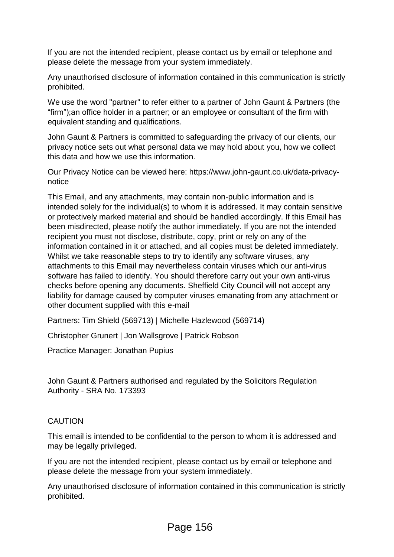If you are not the intended recipient, please contact us by email or telephone and please delete the message from your system immediately.

Any unauthorised disclosure of information contained in this communication is strictly prohibited.

We use the word "partner" to refer either to a partner of John Gaunt & Partners (the "firm");an office holder in a partner; or an employee or consultant of the firm with equivalent standing and qualifications.

John Gaunt & Partners is committed to safeguarding the privacy of our clients, our privacy notice sets out what personal data we may hold about you, how we collect this data and how we use this information.

Our Privacy Notice can be viewed here: https://www.john-gaunt.co.uk/data-privacynotice

This Email, and any attachments, may contain non-public information and is intended solely for the individual(s) to whom it is addressed. It may contain sensitive or protectively marked material and should be handled accordingly. If this Email has been misdirected, please notify the author immediately. If you are not the intended recipient you must not disclose, distribute, copy, print or rely on any of the information contained in it or attached, and all copies must be deleted immediately. Whilst we take reasonable steps to try to identify any software viruses, any attachments to this Email may nevertheless contain viruses which our anti-virus software has failed to identify. You should therefore carry out your own anti-virus checks before opening any documents. Sheffield City Council will not accept any liability for damage caused by computer viruses emanating from any attachment or other document supplied with this e-mail

Partners: Tim Shield (569713) | Michelle Hazlewood (569714)

Christopher Grunert | Jon Wallsgrove | Patrick Robson

Practice Manager: Jonathan Pupius

John Gaunt & Partners authorised and regulated by the Solicitors Regulation Authority - SRA No. 173393

### CAUTION

This email is intended to be confidential to the person to whom it is addressed and may be legally privileged.

If you are not the intended recipient, please contact us by email or telephone and please delete the message from your system immediately.

Any unauthorised disclosure of information contained in this communication is strictly prohibited.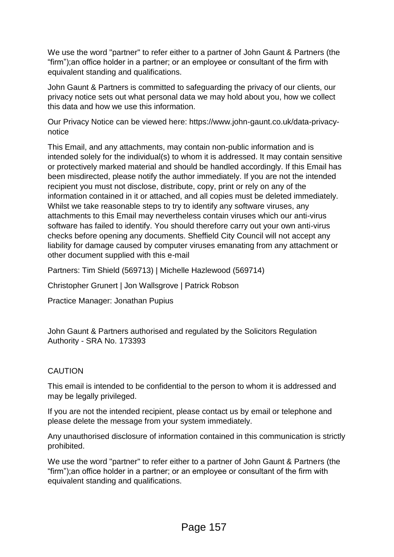We use the word "partner" to refer either to a partner of John Gaunt & Partners (the "firm");an office holder in a partner; or an employee or consultant of the firm with equivalent standing and qualifications.

John Gaunt & Partners is committed to safeguarding the privacy of our clients, our privacy notice sets out what personal data we may hold about you, how we collect this data and how we use this information.

Our Privacy Notice can be viewed here: https://www.john-gaunt.co.uk/data-privacynotice

This Email, and any attachments, may contain non-public information and is intended solely for the individual(s) to whom it is addressed. It may contain sensitive or protectively marked material and should be handled accordingly. If this Email has been misdirected, please notify the author immediately. If you are not the intended recipient you must not disclose, distribute, copy, print or rely on any of the information contained in it or attached, and all copies must be deleted immediately. Whilst we take reasonable steps to try to identify any software viruses, any attachments to this Email may nevertheless contain viruses which our anti-virus software has failed to identify. You should therefore carry out your own anti-virus checks before opening any documents. Sheffield City Council will not accept any liability for damage caused by computer viruses emanating from any attachment or other document supplied with this e-mail

Partners: Tim Shield (569713) | Michelle Hazlewood (569714)

Christopher Grunert | Jon Wallsgrove | Patrick Robson

Practice Manager: Jonathan Pupius

John Gaunt & Partners authorised and regulated by the Solicitors Regulation Authority - SRA No. 173393

# **CAUTION**

This email is intended to be confidential to the person to whom it is addressed and may be legally privileged.

If you are not the intended recipient, please contact us by email or telephone and please delete the message from your system immediately.

Any unauthorised disclosure of information contained in this communication is strictly prohibited.

We use the word "partner" to refer either to a partner of John Gaunt & Partners (the "firm");an office holder in a partner; or an employee or consultant of the firm with equivalent standing and qualifications.